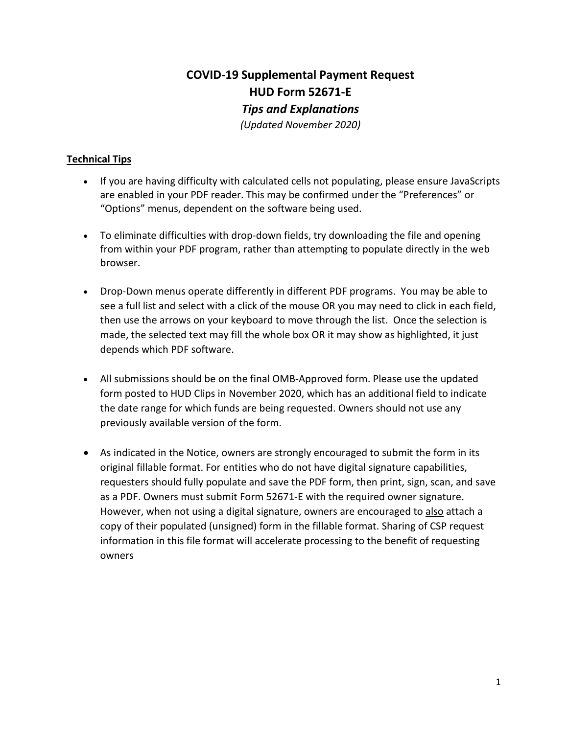# **COVID-19 Supplemental Payment Request HUD Form 52671-E**  *Tips and Explanations (Updated November 2020)*

#### **Technical Tips**

- If you are having difficulty with calculated cells not populating, please ensure JavaScripts are enabled in your PDF reader. This may be confirmed under the "Preferences" or "Options" menus, dependent on the software being used.
- To eliminate difficulties with drop-down fields, try downloading the file and opening from within your PDF program, rather than attempting to populate directly in the web browser.
- Drop-Down menus operate differently in different PDF programs. You may be able to see a full list and select with a click of the mouse OR you may need to click in each field, then use the arrows on your keyboard to move through the list. Once the selection is made, the selected text may fill the whole box OR it may show as highlighted, it just depends which PDF software.
- All submissions should be on the final OMB-Approved form. Please use the updated form posted to HUD Clips in November 2020, which has an additional field to indicate the date range for which funds are being requested. Owners should not use any previously available version of the form.
- As indicated in the Notice, owners are strongly encouraged to submit the form in its original fillable format. For entities who do not have digital signature capabilities, requesters should fully populate and save the PDF form, then print, sign, scan, and save as a PDF. Owners must submit Form 52671-E with the required owner signature. However, when not using a digital signature, owners are encouraged to also attach a copy of their populated (unsigned) form in the fillable format. Sharing of CSP request information in this file format will accelerate processing to the benefit of requesting owners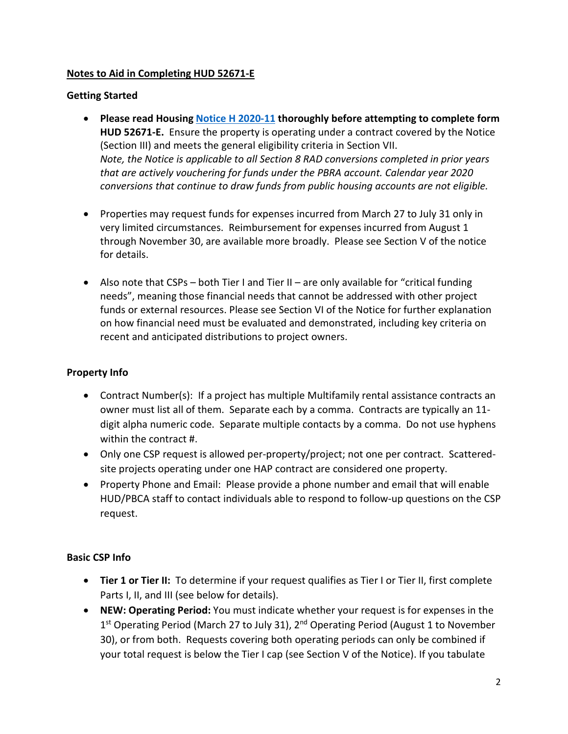#### **Notes to Aid in Completing HUD 52671-E**

#### **Getting Started**

- **Please read Housing Notice H 2020-11 thoroughly before attempting to complete form HUD 52671-E.** Ensure the property is operating under a contract covered by the Notice (Section III) and meets the general eligibility criteria in Section VII. *Note, the Notice is applicable to all Section 8 RAD conversions completed in prior years that are actively vouchering for funds under the PBRA account. Calendar year 2020 conversions that continue to draw funds from public housing accounts are not eligible.*
- Properties may request funds for expenses incurred from March 27 to July 31 only in very limited circumstances. Reimbursement for expenses incurred from August 1 through November 30, are available more broadly. Please see Section V of the notice for details.
- Also note that  $CSPs both Tier I$  and Tier II are only available for "critical funding needs", meaning those financial needs that cannot be addressed with other project funds or external resources. Please see Section VI of the Notice for further explanation on how financial need must be evaluated and demonstrated, including key criteria on recent and anticipated distributions to project owners.

## **Property Info**

- Contract Number(s): If a project has multiple Multifamily rental assistance contracts an owner must list all of them. Separate each by a comma. Contracts are typically an 11 digit alpha numeric code. Separate multiple contacts by a comma. Do not use hyphens within the contract #.
- Only one CSP request is allowed per-property/project; not one per contract. Scatteredsite projects operating under one HAP contract are considered one property.
- Property Phone and Email: Please provide a phone number and email that will enable HUD/PBCA staff to contact individuals able to respond to follow-up questions on the CSP request.

## **Basic CSP Info**

- **Tier 1 or Tier II:** To determine if your request qualifies as Tier I or Tier II, first complete Parts I, II, and III (see below for details).
- **NEW: Operating Period:** You must indicate whether your request is for expenses in the 1<sup>st</sup> Operating Period (March 27 to July 31), 2<sup>nd</sup> Operating Period (August 1 to November 30), or from both. Requests covering both operating periods can only be combined if your total request is below the Tier I cap (see Section V of the Notice). If you tabulate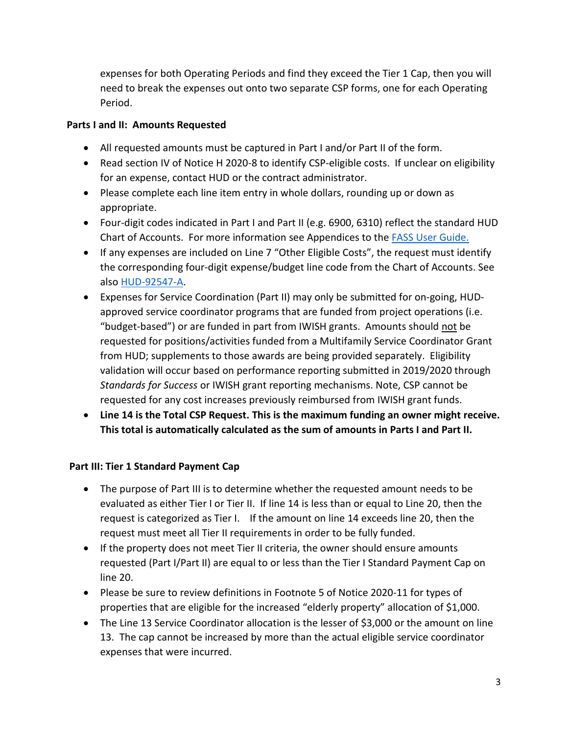expenses for both Operating Periods and find they exceed the Tier 1 Cap, then you will need to break the expenses out onto two separate CSP forms, one for each Operating Period.

#### **Parts I and II: Amounts Requested**

- All requested amounts must be captured in Part I and/or Part II of the form.
- Read section IV of Notice H 2020-8 to identify CSP-eligible costs. If unclear on eligibility for an expense, contact HUD or the contract administrator.
- Please complete each line item entry in whole dollars, rounding up or down as appropriate.
- Four-digit codes indicated in Part I and Part II (e.g. 6900, 6310) reflect the standard HUD Chart of Accounts. For more information see Appendices to the FASS User Guide.
- If any expenses are included on Line 7 "Other Eligible Costs", the request must identify the corresponding four-digit expense/budget line code from the Chart of Accounts. See also HUD-92547-A.
- Expenses for Service Coordination (Part II) may only be submitted for on-going, HUDapproved service coordinator programs that are funded from project operations (i.e. "budget-based") or are funded in part from IWISH grants. Amounts should not be requested for positions/activities funded from a Multifamily Service Coordinator Grant from HUD; supplements to those awards are being provided separately. Eligibility validation will occur based on performance reporting submitted in 2019/2020 through *Standards for Success* or IWISH grant reporting mechanisms. Note, CSP cannot be requested for any cost increases previously reimbursed from IWISH grant funds.
- **Line 14 is the Total CSP Request. This is the maximum funding an owner might receive. This total is automatically calculated as the sum of amounts in Parts I and Part II.**

#### **Part III: Tier 1 Standard Payment Cap**

- The purpose of Part III is to determine whether the requested amount needs to be evaluated as either Tier I or Tier II. If line 14 is less than or equal to Line 20, then the request is categorized as Tier I. If the amount on line 14 exceeds line 20, then the request must meet all Tier II requirements in order to be fully funded.
- If the property does not meet Tier II criteria, the owner should ensure amounts requested (Part I/Part II) are equal to or less than the Tier I Standard Payment Cap on line 20.
- Please be sure to review definitions in Footnote 5 of Notice 2020-11 for types of properties that are eligible for the increased "elderly property" allocation of \$1,000.
- The Line 13 Service Coordinator allocation is the lesser of \$3,000 or the amount on line 13. The cap cannot be increased by more than the actual eligible service coordinator expenses that were incurred.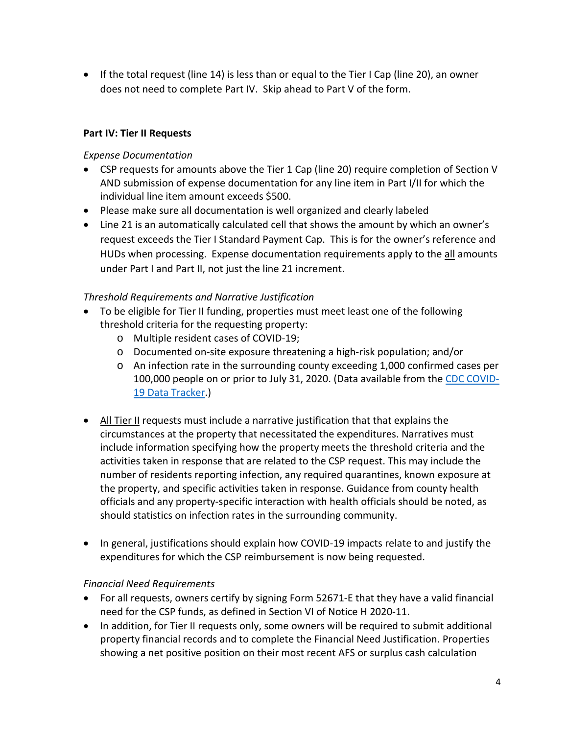• If the total request (line 14) is less than or equal to the Tier I Cap (line 20), an owner does not need to complete Part IV. Skip ahead to Part V of the form.

#### **Part IV: Tier II Requests**

#### *Expense Documentation*

- CSP requests for amounts above the Tier 1 Cap (line 20) require completion of Section V AND submission of expense documentation for any line item in Part I/II for which the individual line item amount exceeds \$500.
- Please make sure all documentation is well organized and clearly labeled
- Line 21 is an automatically calculated cell that shows the amount by which an owner's request exceeds the Tier I Standard Payment Cap. This is for the owner's reference and HUDs when processing. Expense documentation requirements apply to the all amounts under Part I and Part II, not just the line 21 increment.

#### *Threshold Requirements and Narrative Justification*

- To be eligible for Tier II funding, properties must meet least one of the following threshold criteria for the requesting property:
	- o Multiple resident cases of COVID-19;
	- o Documented on-site exposure threatening a high-risk population; and/or
	- o An infection rate in the surrounding county exceeding 1,000 confirmed cases per 100,000 people on or prior to July 31, 2020. (Data available from the CDC COVID-19 Data Tracker.)
- All Tier II requests must include a narrative justification that that explains the circumstances at the property that necessitated the expenditures. Narratives must include information specifying how the property meets the threshold criteria and the activities taken in response that are related to the CSP request. This may include the number of residents reporting infection, any required quarantines, known exposure at the property, and specific activities taken in response. Guidance from county health officials and any property-specific interaction with health officials should be noted, as should statistics on infection rates in the surrounding community.
- In general, justifications should explain how COVID-19 impacts relate to and justify the expenditures for which the CSP reimbursement is now being requested.

#### *Financial Need Requirements*

- For all requests, owners certify by signing Form 52671-E that they have a valid financial need for the CSP funds, as defined in Section VI of Notice H 2020-11.
- In addition, for Tier II requests only, some owners will be required to submit additional property financial records and to complete the Financial Need Justification. Properties showing a net positive position on their most recent AFS or surplus cash calculation